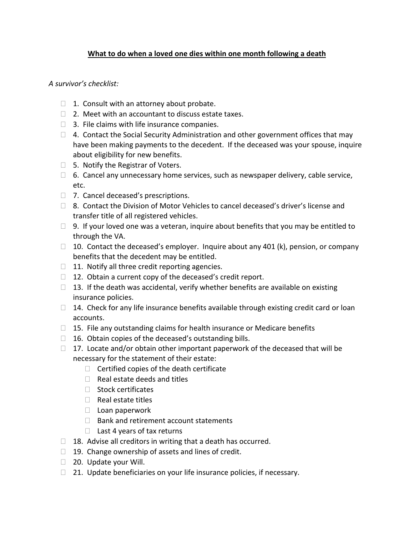## **What to do when a loved one dies within one month following a death**

*A survivor's checklist:*

- $\Box$  1. Consult with an attorney about probate.
- $\Box$  2. Meet with an accountant to discuss estate taxes.
- $\Box$  3. File claims with life insurance companies.
- $\Box$  4. Contact the Social Security Administration and other government offices that may have been making payments to the decedent. If the deceased was your spouse, inquire about eligibility for new benefits.
- $\Box$  5. Notify the Registrar of Voters.
- $\Box$  6. Cancel any unnecessary home services, such as newspaper delivery, cable service, etc.
- □ 7. Cancel deceased's prescriptions.
- $\Box$  8. Contact the Division of Motor Vehicles to cancel deceased's driver's license and transfer title of all registered vehicles.
- $\Box$  9. If your loved one was a veteran, inquire about benefits that you may be entitled to through the VA.
- $\Box$  10. Contact the deceased's employer. Inquire about any 401 (k), pension, or company benefits that the decedent may be entitled.
- $\Box$  11. Notify all three credit reporting agencies.
- $\Box$  12. Obtain a current copy of the deceased's credit report.
- $\Box$  13. If the death was accidental, verify whether benefits are available on existing insurance policies.
- $\Box$  14. Check for any life insurance benefits available through existing credit card or loan accounts.
- $\Box$  15. File any outstanding claims for health insurance or Medicare benefits
- $\Box$  16. Obtain copies of the deceased's outstanding bills.
- $\Box$  17. Locate and/or obtain other important paperwork of the deceased that will be necessary for the statement of their estate:
	- $\Box$  Certified copies of the death certificate
	- $\Box$  Real estate deeds and titles
	- $\Box$  Stock certificates
	- $\Box$  Real estate titles
	- $\Box$  Loan paperwork
	- $\Box$  Bank and retirement account statements
	- $\Box$  Last 4 years of tax returns
- $\Box$  18. Advise all creditors in writing that a death has occurred.
- $\Box$  19. Change ownership of assets and lines of credit.
- □ 20. Update your Will.
- $\Box$  21. Update beneficiaries on your life insurance policies, if necessary.